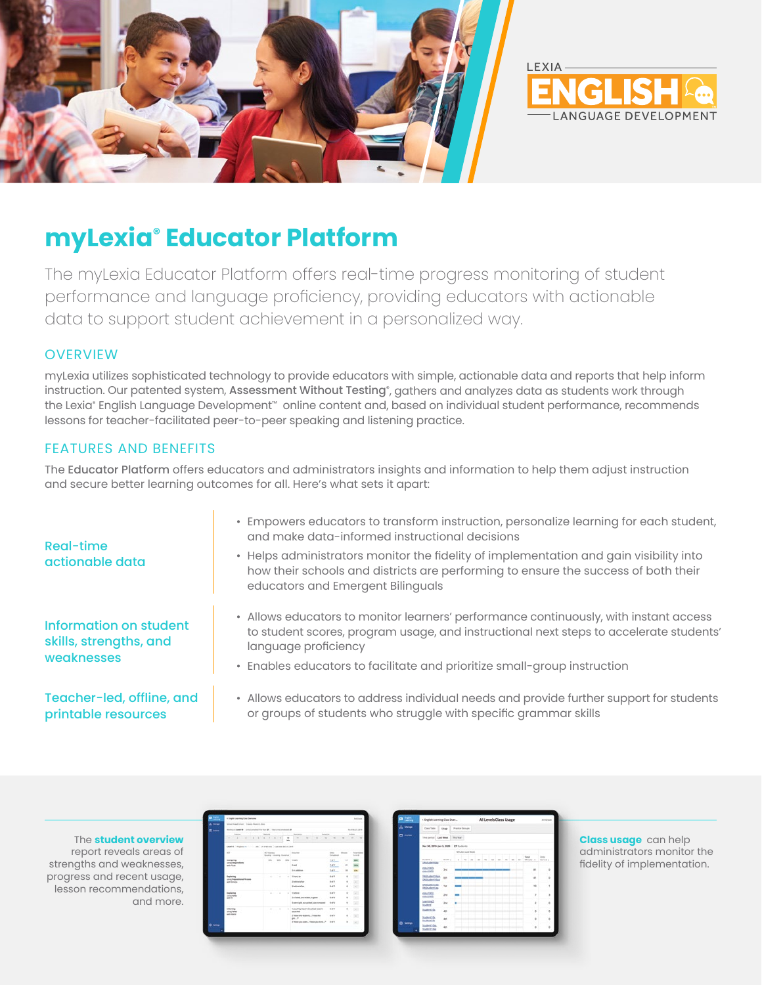



# **myLexia® Educator Platform**

The myLexia Educator Platform offers real-time progress monitoring of student performance and language proficiency, providing educators with actionable data to support student achievement in a personalized way.

#### **OVERVIEW**

myLexia utilizes sophisticated technology to provide educators with simple, actionable data and reports that help inform instruction. Our patented system, **Assessment Without Testing**°, gathers and analyzes data as students work through the Lexia® English Language Development™ online content and, based on individual student performance, recommends lessons for teacher-facilitated peer-to-peer speaking and listening practice.

#### FEATURES AND BENEFITS

The Educator Platform offers educators and administrators insights and information to help them adjust instruction and secure better learning outcomes for all. Here's what sets it apart:

| Real-time<br>actionable data                                          | • Empowers educators to transform instruction, personalize learning for each student,<br>and make data-informed instructional decisions<br>• Helps administrators monitor the fidelity of implementation and gain visibility into<br>how their schools and districts are performing to ensure the success of both their<br>educators and Emergent Bilinguals |  |  |  |  |  |
|-----------------------------------------------------------------------|--------------------------------------------------------------------------------------------------------------------------------------------------------------------------------------------------------------------------------------------------------------------------------------------------------------------------------------------------------------|--|--|--|--|--|
| <b>Information on student</b><br>skills, strengths, and<br>weaknesses | • Allows educators to monitor learners' performance continuously, with instant access<br>to student scores, program usage, and instructional next steps to accelerate students'<br>language proficiency<br>• Enables educators to facilitate and prioritize small-group instruction                                                                          |  |  |  |  |  |
| Teacher-led, offline, and                                             | • Allows educators to address individual needs and provide further support for students                                                                                                                                                                                                                                                                      |  |  |  |  |  |

printable resources

• Allows educators to address individual needs and provide further support for students or groups of students who struggle with specific grammar skills

The **student overview** report reveals areas of strengths and weaknesses, progress and recent usage, lesson recommendations, and more.

| m,                       | 4 English previous Case Grantees                                         |                                     |                          |                            |                                                           |                           |                                         |                |  |  |  |  |  |  |
|--------------------------|--------------------------------------------------------------------------|-------------------------------------|--------------------------|----------------------------|-----------------------------------------------------------|---------------------------|-----------------------------------------|----------------|--|--|--|--|--|--|
| $\overline{\phantom{a}}$ | Small Road Miles   Freem Rowth Road                                      |                                     |                          |                            |                                                           |                           |                                         |                |  |  |  |  |  |  |
| <b>Black</b>             | <b>NUMBER</b><br>Release beat # - River a children and a mean to present |                                     |                          |                            |                                                           |                           |                                         |                |  |  |  |  |  |  |
|                          | <b>Instrume</b>                                                          | hanno                               |                          |                            | <b>THEFT AND</b><br><b>SERVICE</b>                        |                           |                                         | <b>Artists</b> |  |  |  |  |  |  |
|                          | All Carolina                                                             | 1.1.1                               | 4.1.14                   | $\rightarrow$<br><b>HR</b> | To the<br>$\sim$<br>$\sim$<br>$\sim$                      | $\sim$                    | ۰                                       | $\sim$         |  |  |  |  |  |  |
|                          | testif many or  an inverse conscious and                                 |                                     |                          |                            |                                                           |                           |                                         |                |  |  |  |  |  |  |
|                          | $\sim$                                                                   | all more.<br><b>Some comp boone</b> |                          |                            | <b>Brancher</b>                                           | the con-<br>Total America | <b>Month</b><br>homes<br><b>Science</b> |                |  |  |  |  |  |  |
|                          | Consoling                                                                | <b>SON</b>                          | <b>STATE</b>             |                            | <b>399 1-MA</b>                                           | w                         | u                                       |                |  |  |  |  |  |  |
|                          | university and providents.<br>sale Karak                                 |                                     |                          |                            | 2.44                                                      | ter.                      | ×                                       |                |  |  |  |  |  |  |
|                          |                                                                          |                                     |                          |                            | 5-n pictime                                               | ter.                      |                                         |                |  |  |  |  |  |  |
|                          | <b><i><u>Selecting</u></i></b><br>complete and thousand                  |                                     | the contract of the con- |                            | $-$ 1.0 min. for                                          | Aug 19                    | ٠                                       | S.             |  |  |  |  |  |  |
|                          | with distance.<br>an a                                                   |                                     |                          |                            | 2 induced by                                              | A-415                     |                                         |                |  |  |  |  |  |  |
|                          | ---                                                                      |                                     |                          |                            | <b>Rinderstown</b>                                        | <b>SATE</b>               |                                         | $\sim$         |  |  |  |  |  |  |
|                          | <b>Seriester</b><br>concentration                                        |                                     | ALC: YES                 | ×                          | <b><i><u>Station</u></i></b>                              | <b>Harley</b>             |                                         | 63             |  |  |  |  |  |  |
|                          | with the                                                                 |                                     |                          |                            | 2-school pergelect is pure                                | <b>Haft</b>               |                                         | 543            |  |  |  |  |  |  |
|                          |                                                                          |                                     |                          |                            | 5 are will not what we increase                           | <b>Hydra</b>              |                                         | C43            |  |  |  |  |  |  |
|                          | informing<br>aling/week.                                                 |                                     | ALC: YES                 |                            | . Number of a product in the control<br><b>ATMOSPHERE</b> | <b>MARK</b>               |                                         | $\sim$         |  |  |  |  |  |  |
|                          | <b>ART FRANK</b><br>o e                                                  |                                     |                          |                            | 2. West the students . 7 New York<br><b>ARLP</b>          | <b>SATI</b>               |                                         | ×              |  |  |  |  |  |  |
| $\bullet$ was            |                                                                          |                                     |                          |                            | 3. Many six paints. Prints law show. P.                   | <b>SHOW</b>               |                                         | $\sim$         |  |  |  |  |  |  |
|                          |                                                                          |                                     |                          |                            |                                                           |                           |                                         |                |  |  |  |  |  |  |

| di Manga       | Cost Tube<br><b>Province Groups</b><br>Ulage |                 |         |        |                          |   |   |              |  |              |   |               |                             |                           |
|----------------|----------------------------------------------|-----------------|---------|--------|--------------------------|---|---|--------------|--|--------------|---|---------------|-----------------------------|---------------------------|
| <b>M</b> Asian | Ting partner Land Block                      |                 | The New |        |                          |   |   |              |  |              |   |               |                             |                           |
|                | Det 30, 2019 (art 5, 2020 27 Students)       |                 |         |        |                          |   |   |              |  |              |   |               |                             |                           |
|                | Minutes Law Wood                             |                 |         |        |                          |   |   |              |  |              |   |               |                             |                           |
|                | Student (C)<br><b>SAVURETRA</b>              | Grante 1        | ×       | $\sim$ | $\overline{\phantom{a}}$ | × | × | $\mathbf{u}$ |  | $\mathbf{u}$ | × | $_{\rm{min}}$ | <b>Tuesday</b><br>Afrages 2 | <b>Service</b><br>Gamed 1 |
|                | 450,093<br>etzu/1003                         | 3st             |         |        |                          |   |   |              |  |              |   |               | m                           | ×                         |
|                | GASS/Jers*Aas.<br><b>GASILIANSTRAK</b>       | se.             |         |        |                          |   |   |              |  |              |   |               | $\frac{1}{2}$               | ٠                         |
|                | <b>GASILINESSIA</b><br><b>OAStudentSaa</b>   | $-$ 100         |         |        |                          |   |   |              |  |              |   |               | $\rightarrow$               | t                         |
|                | etzuitzt.<br>eteuroso                        | 244             |         |        |                          |   |   |              |  |              |   |               | <b>y</b>                    | s                         |
|                | Learning,<br><b>Student</b>                  | <b>Just</b>     |         |        |                          |   |   |              |  |              |   |               | J.                          | ×                         |
|                | <b>Sudentifie</b>                            | 40 <sub>3</sub> |         |        |                          |   |   |              |  |              |   |               | o.                          | b                         |
|                | StudentSte<br>StudentTda                     | 46              |         |        |                          |   |   |              |  |              |   |               | $\ddot{\rm{o}}$             | b                         |
| n<br>٠         | Student10xx<br>Student 1 Day                 | in.             |         |        |                          |   |   |              |  |              |   |               | ٠                           | ė                         |
|                |                                              |                 |         |        |                          |   |   |              |  |              |   |               |                             |                           |

**Class usage** can help administrators monitor the fidelity of implementation.